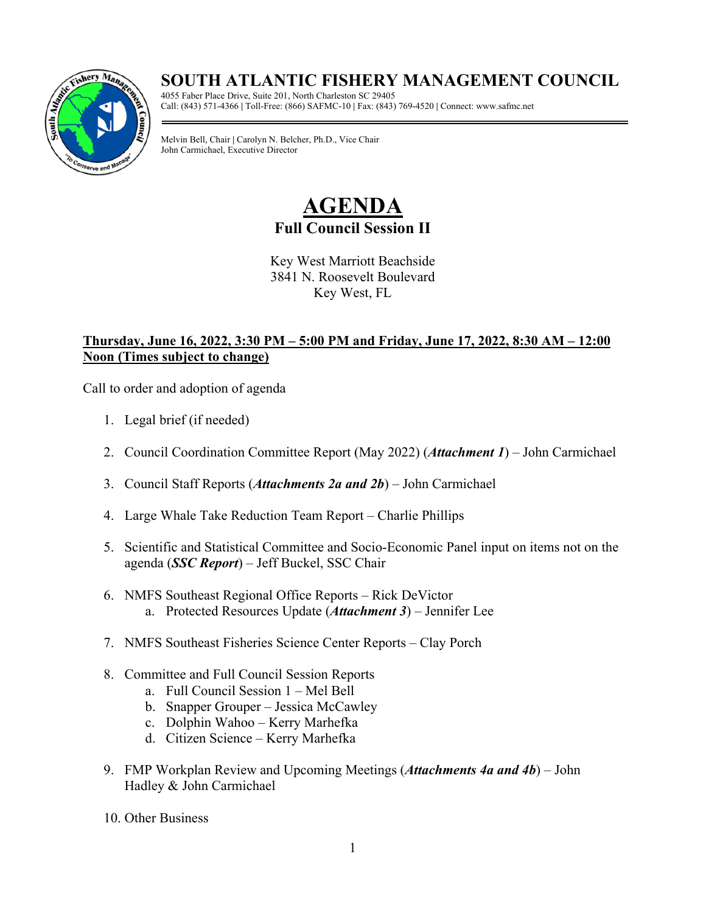## **SOUTH ATLANTIC FISHERY MANAGEMENT COUNCIL**



4055 Faber Place Drive, Suite 201, North Charleston SC 29405 Call: (843) 571-4366 **|** Toll-Free: (866) SAFMC-10 **|** Fax: (843) 769-4520 **|** Connect: www.safmc.net

Melvin Bell, Chair **|** Carolyn N. Belcher, Ph.D., Vice Chair John Carmichael, Executive Director

## **AGENDA Full Council Session II**

Key West Marriott Beachside 3841 N. Roosevelt Boulevard Key West, FL

## **Thursday, June 16, 2022, 3:30 PM – 5:00 PM and Friday, June 17, 2022, 8:30 AM – 12:00 Noon (Times subject to change)**

Call to order and adoption of agenda

- 1. Legal brief (if needed)
- 2. Council Coordination Committee Report (May 2022) (*Attachment 1*) John Carmichael
- 3. Council Staff Reports (*Attachments 2a and 2b*) John Carmichael
- 4. Large Whale Take Reduction Team Report Charlie Phillips
- 5. Scientific and Statistical Committee and Socio-Economic Panel input on items not on the agenda (*SSC Report*) – Jeff Buckel, SSC Chair
- 6. NMFS Southeast Regional Office Reports Rick DeVictor a. Protected Resources Update (*Attachment 3*) – Jennifer Lee
- 7. NMFS Southeast Fisheries Science Center Reports Clay Porch
- 8. Committee and Full Council Session Reports
	- a. Full Council Session 1 Mel Bell
	- b. Snapper Grouper Jessica McCawley
	- c. Dolphin Wahoo Kerry Marhefka
	- d. Citizen Science Kerry Marhefka
- 9. FMP Workplan Review and Upcoming Meetings (*Attachments 4a and 4b*) John Hadley & John Carmichael
- 10. Other Business